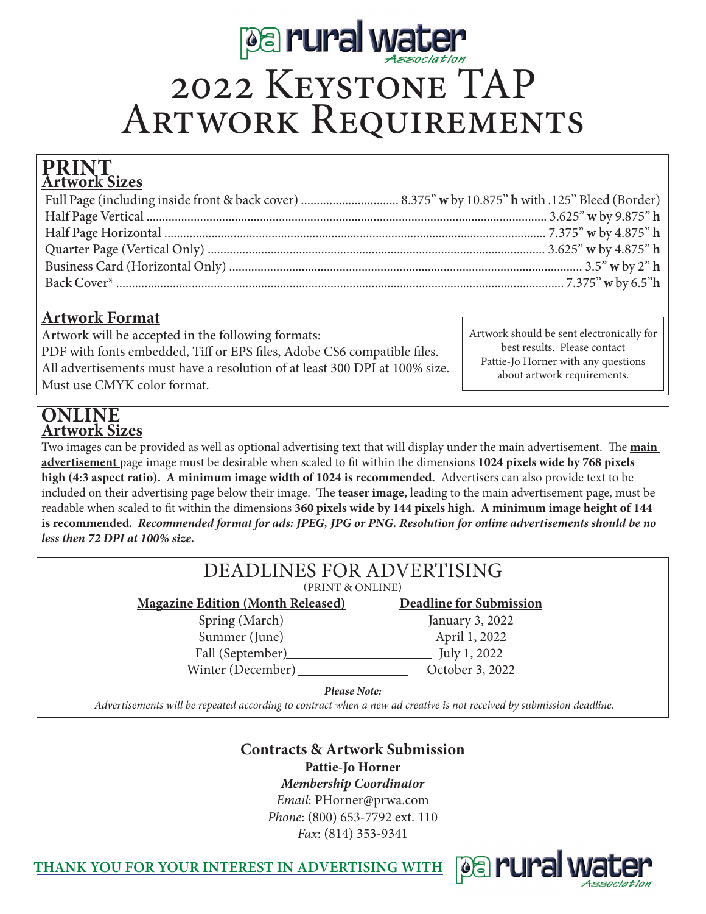

# 2022 Keystone TAP ARTWORK REQUIREMENTS

#### **Artwork Sizes PRINT**

### **Artwork Format**

Artwork will be accepted in the following formats: PDF with fonts embedded, Tiff or EPS files, Adobe CS6 compatible files. All advertisements must have a resolution of at least 300 DPI at 100% size. Must use CMYK color format.

Artwork should be sent electronically for best results. Please contact Pattie-Jo Horner with any questions about artwork requirements.

### **Artwork Sizes ONLINE**

Two images can be provided as well as optional advertising text that will display under the main advertisement. The **main advertisement** page image must be desirable when scaled to fit within the dimensions **1024 pixels wide by 768 pixels high (4:3 aspect ratio). A minimum image width of 1024 is recommended.** Advertisers can also provide text to be included on their advertising page below their image. The **teaser image,** leading to the main advertisement page, must be readable when scaled to fit within the dimensions **360 pixels wide by 144 pixels high. A minimum image height of 144 is recommended.** *Recommended format for ads: JPEG, JPG or PNG. Resolution for online advertisements should be no less then 72 DPI at 100% size.*

| DEADLINES FOR ADVERTISING<br>(PRINT & ONLINE) |                                |  |  |
|-----------------------------------------------|--------------------------------|--|--|
| <b>Magazine Edition (Month Released)</b>      | <b>Deadline for Submission</b> |  |  |
|                                               | January 3, 2022                |  |  |
| Summer (June)                                 | April 1, 2022                  |  |  |
| Fall (September)                              | July 1, 2022                   |  |  |
| Winter (December)_                            | October 3, 2022                |  |  |
| <b>Please Note:</b>                           |                                |  |  |

 *Advertisements will be repeated according to contract when a new ad creative is not received by submission deadline.* 

# **Contracts & Artwork Submission**

**Pattie-Jo Horner**

*Membership Coordinator*

*Email*: PHorner@prwa.com *Phone*: (800) 653-7792 ext. 110

*Fax*: (814) 353-9341